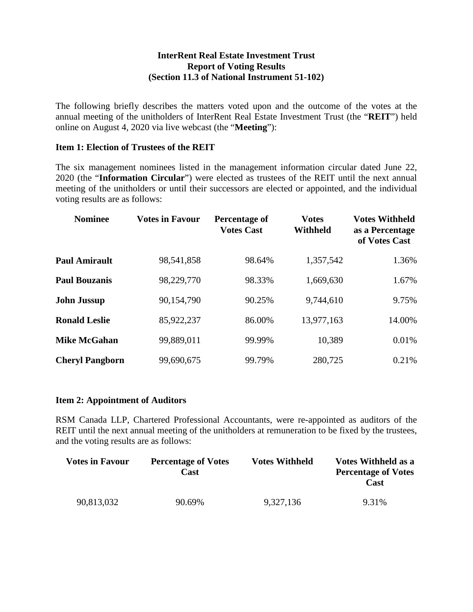## **InterRent Real Estate Investment Trust Report of Voting Results (Section 11.3 of National Instrument 51-102)**

The following briefly describes the matters voted upon and the outcome of the votes at the annual meeting of the unitholders of InterRent Real Estate Investment Trust (the "**REIT**") held online on August 4, 2020 via live webcast (the "**Meeting**"):

## **Item 1: Election of Trustees of the REIT**

The six management nominees listed in the management information circular dated June 22, 2020 (the "**Information Circular**") were elected as trustees of the REIT until the next annual meeting of the unitholders or until their successors are elected or appointed, and the individual voting results are as follows:

| <b>Nominee</b>         | <b>Votes in Favour</b> | <b>Percentage of</b><br><b>Votes Cast</b> | <b>Votes</b><br><b>Withheld</b> | <b>Votes Withheld</b><br>as a Percentage<br>of Votes Cast |
|------------------------|------------------------|-------------------------------------------|---------------------------------|-----------------------------------------------------------|
| <b>Paul Amirault</b>   | 98,541,858             | 98.64%                                    | 1,357,542                       | 1.36%                                                     |
| <b>Paul Bouzanis</b>   | 98,229,770             | 98.33%                                    | 1,669,630                       | 1.67%                                                     |
| <b>John Jussup</b>     | 90,154,790             | 90.25%                                    | 9,744,610                       | 9.75%                                                     |
| <b>Ronald Leslie</b>   | 85,922,237             | 86.00%                                    | 13,977,163                      | 14.00%                                                    |
| <b>Mike McGahan</b>    | 99,889,011             | 99.99%                                    | 10,389                          | 0.01%                                                     |
| <b>Cheryl Pangborn</b> | 99,690,675             | 99.79%                                    | 280,725                         | 0.21%                                                     |

## **Item 2: Appointment of Auditors**

RSM Canada LLP, Chartered Professional Accountants, were re-appointed as auditors of the REIT until the next annual meeting of the unitholders at remuneration to be fixed by the trustees, and the voting results are as follows:

| <b>Votes in Favour</b> | <b>Percentage of Votes</b><br>Cast | <b>Votes Withheld</b> | <b>Votes Withheld as a</b><br><b>Percentage of Votes</b><br>Cast |
|------------------------|------------------------------------|-----------------------|------------------------------------------------------------------|
| 90,813,032             | 90.69%                             | 9,327,136             | 9.31%                                                            |